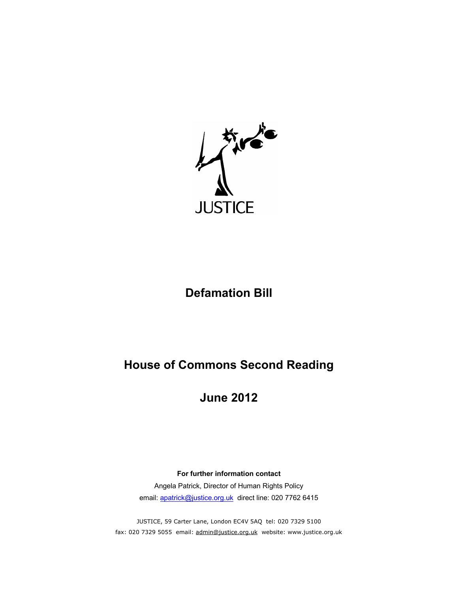

# **Defamation Bill**

# **House of Commons Second Reading**

# **June 2012**

**For further information contact** Angela Patrick, Director of Human Rights Policy email: apatrick@justice.org.uk direct line: 020 7762 6415

JUSTICE, 59 Carter Lane, London EC4V 5AQ tel: 020 7329 5100 fax: 020 7329 5055 email: admin@justice.org.uk website: www.justice.org.uk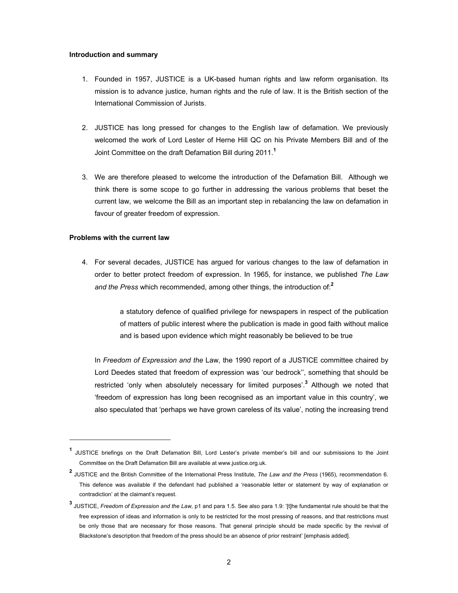#### **Introduction and summary**

- 1. Founded in 1957, JUSTICE is a UK-based human rights and law reform organisation. Its mission is to advance justice, human rights and the rule of law. It is the British section of the International Commission of Jurists.
- 2. JUSTICE has long pressed for changes to the English law of defamation. We previously welcomed the work of Lord Lester of Herne Hill QC on his Private Members Bill and of the Joint Committee on the draft Defamation Bill during 2011.**<sup>1</sup>**
- 3. We are therefore pleased to welcome the introduction of the Defamation Bill. Although we think there is some scope to go further in addressing the various problems that beset the current law, we welcome the Bill as an important step in rebalancing the law on defamation in favour of greater freedom of expression.

# **Problems with the current law**

 $\overline{a}$ 

4. For several decades, JUSTICE has argued for various changes to the law of defamation in order to better protect freedom of expression. In 1965, for instance, we published *The Law and the Press* which recommended, among other things, the introduction of:**<sup>2</sup>**

> a statutory defence of qualified privilege for newspapers in respect of the publication of matters of public interest where the publication is made in good faith without malice and is based upon evidence which might reasonably be believed to be true

In *Freedom of Expression and the* Law, the 1990 report of a JUSTICE committee chaired by Lord Deedes stated that freedom of expression was 'our bedrock'', something that should be restricted 'only when absolutely necessary for limited purposes'.**<sup>3</sup>** Although we noted that 'freedom of expression has long been recognised as an important value in this country', we also speculated that 'perhaps we have grown careless of its value', noting the increasing trend

**<sup>1</sup>** JUSTICE briefings on the Draft Defamation Bill, Lord Lester's private member's bill and our submissions to the Joint Committee on the Draft Defamation Bill are available at www.justice.org.uk.

**<sup>2</sup>** JUSTICE and the British Committee of the International Press Institute, *The Law and the Press* (1965), recommendation 6. This defence was available if the defendant had published a 'reasonable letter or statement by way of explanation or contradiction' at the claimant's request.

**<sup>3</sup>** JUSTICE, *Freedom of Expression and the Law,* p1 and para 1.5. See also para 1.9: '[t]he fundamental rule should be that the free expression of ideas and information is only to be restricted for the most pressing of reasons, and that restrictions must be only those that are necessary for those reasons. That general principle should be made specific by the revival of Blackstone's description that freedom of the press should be an absence of prior restraint' [emphasis added].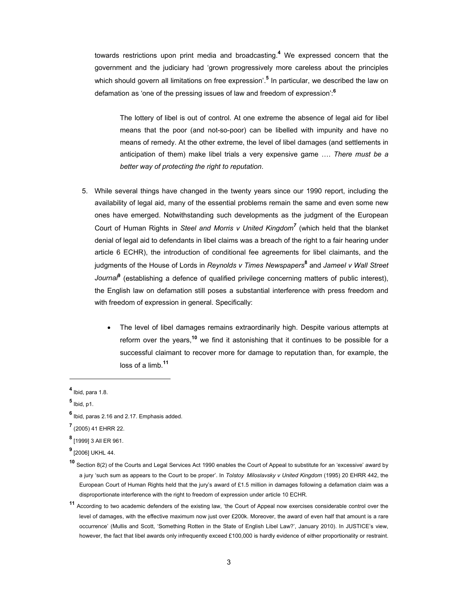towards restrictions upon print media and broadcasting.**<sup>4</sup>** We expressed concern that the government and the judiciary had 'grown progressively more careless about the principles which should govern all limitations on free expression'.**<sup>5</sup>** In particular, we described the law on defamation as 'one of the pressing issues of law and freedom of expression':**<sup>6</sup>**

The lottery of libel is out of control. At one extreme the absence of legal aid for libel means that the poor (and not-so-poor) can be libelled with impunity and have no means of remedy. At the other extreme, the level of libel damages (and settlements in anticipation of them) make libel trials a very expensive game …. *There must be a better way of protecting the right to reputation*.

- 5. While several things have changed in the twenty years since our 1990 report, including the availability of legal aid, many of the essential problems remain the same and even some new ones have emerged. Notwithstanding such developments as the judgment of the European Court of Human Rights in *Steel and Morris v United Kingdom<sup>7</sup>* (which held that the blanket denial of legal aid to defendants in libel claims was a breach of the right to a fair hearing under article 6 ECHR), the introduction of conditional fee agreements for libel claimants, and the judgments of the House of Lords in *Reynolds v Times Newspapers***<sup>8</sup>** and *Jameel v Wall Street Journal***<sup>9</sup>** (establishing a defence of qualified privilege concerning matters of public interest), the English law on defamation still poses a substantial interference with press freedom and with freedom of expression in general. Specifically:
	- The level of libel damages remains extraordinarily high. Despite various attempts at reform over the years,**10** we find it astonishing that it continues to be possible for a successful claimant to recover more for damage to reputation than, for example, the loss of a limb.**<sup>11</sup>**

l

**9** [2006] UKHL 44.

**<sup>11</sup>** According to two academic defenders of the existing law, 'the Court of Appeal now exercises considerable control over the level of damages, with the effective maximum now just over £200k. Moreover, the award of even half that amount is a rare occurrence' (Mullis and Scott, 'Something Rotten in the State of English Libel Law?', January 2010). In JUSTICE's view, however, the fact that libel awards only infrequently exceed £100,000 is hardly evidence of either proportionality or restraint.

**<sup>4</sup>** Ibid, para 1.8.

**<sup>5</sup>** Ibid, p1.

**<sup>6</sup>** Ibid, paras 2.16 and 2.17. Emphasis added.

**<sup>7</sup>** (2005) 41 EHRR 22.

**<sup>8</sup>** [1999] 3 All ER 961.

**<sup>10</sup>** Section 8(2) of the Courts and Legal Services Act 1990 enables the Court of Appeal to substitute for an 'excessive' award by a jury 'such sum as appears to the Court to be proper'. In *Tolstoy Miloslavsky v United Kingdom* (1995) 20 EHRR 442, the European Court of Human Rights held that the jury's award of £1.5 million in damages following a defamation claim was a disproportionate interference with the right to freedom of expression under article 10 ECHR.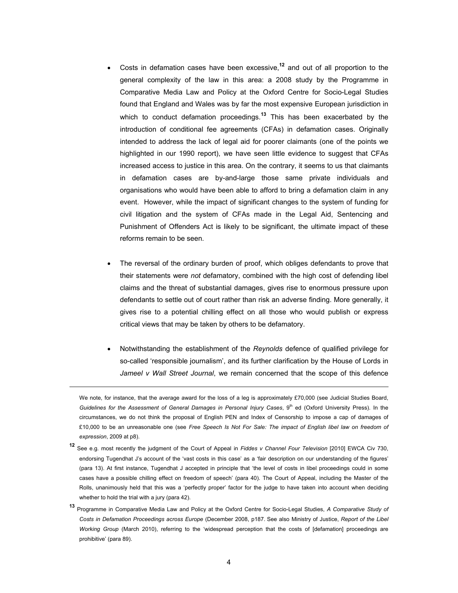- Costs in defamation cases have been excessive,**12** and out of all proportion to the general complexity of the law in this area: a 2008 study by the Programme in Comparative Media Law and Policy at the Oxford Centre for Socio-Legal Studies found that England and Wales was by far the most expensive European jurisdiction in which to conduct defamation proceedings.**13** This has been exacerbated by the introduction of conditional fee agreements (CFAs) in defamation cases. Originally intended to address the lack of legal aid for poorer claimants (one of the points we highlighted in our 1990 report), we have seen little evidence to suggest that CFAs increased access to justice in this area. On the contrary, it seems to us that claimants in defamation cases are by-and-large those same private individuals and organisations who would have been able to afford to bring a defamation claim in any event. However, while the impact of significant changes to the system of funding for civil litigation and the system of CFAs made in the Legal Aid, Sentencing and Punishment of Offenders Act is likely to be significant, the ultimate impact of these reforms remain to be seen.
- The reversal of the ordinary burden of proof, which obliges defendants to prove that their statements were *not* defamatory, combined with the high cost of defending libel claims and the threat of substantial damages, gives rise to enormous pressure upon defendants to settle out of court rather than risk an adverse finding. More generally, it gives rise to a potential chilling effect on all those who would publish or express critical views that may be taken by others to be defamatory.
- Notwithstanding the establishment of the *Reynolds* defence of qualified privilege for so-called 'responsible journalism', and its further clarification by the House of Lords in *Jameel v Wall Street Journal*, we remain concerned that the scope of this defence

- **<sup>12</sup>** See e.g. most recently the judgment of the Court of Appeal in *Fiddes v Channel Four Television* [2010] EWCA Civ 730, endorsing Tugendhat J's account of the 'vast costs in this case' as a 'fair description on our understanding of the figures' (para 13). At first instance, Tugendhat J accepted in principle that 'the level of costs in libel proceedings could in some cases have a possible chilling effect on freedom of speech' (para 40). The Court of Appeal, including the Master of the Rolls, unanimously held that this was a 'perfectly proper' factor for the judge to have taken into account when deciding whether to hold the trial with a jury (para 42).
- **<sup>13</sup>** Programme in Comparative Media Law and Policy at the Oxford Centre for Socio-Legal Studies, *A Comparative Study of Costs in Defamation Proceedings across Europe* (December 2008, p187. See also Ministry of Justice, *Report of the Libel Working Group* (March 2010), referring to the 'widespread perception that the costs of [defamation] proceedings are prohibitive' (para 89).

We note, for instance, that the average award for the loss of a leg is approximately £70,000 (see Judicial Studies Board, Guidelines for the Assessment of General Damages in Personal Injury Cases, 9th ed (Oxford University Press). In the circumstances, we do not think the proposal of English PEN and Index of Censorship to impose a cap of damages of £10,000 to be an unreasonable one (see *Free Speech Is Not For Sale: The impact of English libel law on freedom of expression*, 2009 at p8).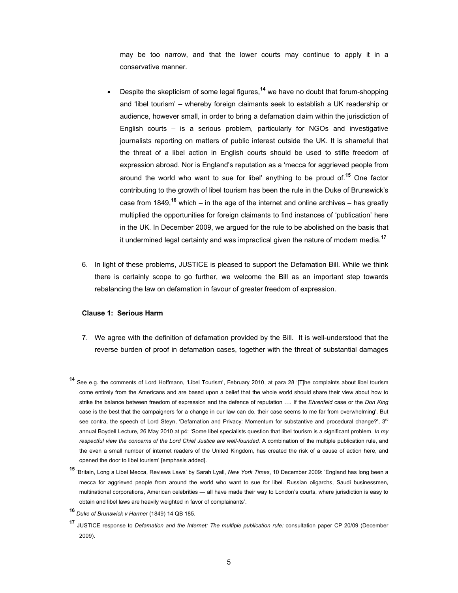may be too narrow, and that the lower courts may continue to apply it in a conservative manner.

- Despite the skepticism of some legal figures,**14** we have no doubt that forum-shopping and 'libel tourism' – whereby foreign claimants seek to establish a UK readership or audience, however small, in order to bring a defamation claim within the jurisdiction of English courts – is a serious problem, particularly for NGOs and investigative journalists reporting on matters of public interest outside the UK. It is shameful that the threat of a libel action in English courts should be used to stifle freedom of expression abroad. Nor is England's reputation as a 'mecca for aggrieved people from around the world who want to sue for libel' anything to be proud of.**15** One factor contributing to the growth of libel tourism has been the rule in the Duke of Brunswick's case from 1849,**16** which – in the age of the internet and online archives – has greatly multiplied the opportunities for foreign claimants to find instances of 'publication' here in the UK. In December 2009, we argued for the rule to be abolished on the basis that it undermined legal certainty and was impractical given the nature of modern media.**<sup>17</sup>**
- 6. In light of these problems, JUSTICE is pleased to support the Defamation Bill. While we think there is certainly scope to go further, we welcome the Bill as an important step towards rebalancing the law on defamation in favour of greater freedom of expression.

# **Clause 1: Serious Harm**

l

7. We agree with the definition of defamation provided by the Bill. It is well-understood that the reverse burden of proof in defamation cases, together with the threat of substantial damages

**<sup>14</sup>** See e.g. the comments of Lord Hoffmann, 'Libel Tourism', February 2010, at para 28 '[T]he complaints about libel tourism come entirely from the Americans and are based upon a belief that the whole world should share their view about how to strike the balance between freedom of expression and the defence of reputation …. If the *Ehrenfeld* case or the *Don King* case is the best that the campaigners for a change in our law can do, their case seems to me far from overwhelming'. But see contra, the speech of Lord Steyn, 'Defamation and Privacy: Momentum for substantive and procedural change?', 3<sup>rd</sup> annual Boydell Lecture, 26 May 2010 at p4: 'Some libel specialists question that libel tourism is a significant problem. *In my respectful view the concerns of the Lord Chief Justice are well-founded.* A combination of the multiple publication rule, and the even a small number of internet readers of the United Kingdom, has created the risk of a cause of action here, and opened the door to libel tourism' [emphasis added].

**<sup>15</sup>** 'Britain, Long a Libel Mecca, Reviews Laws' by Sarah Lyall, *New York Times*, 10 December 2009: 'England has long been a mecca for aggrieved people from around the world who want to sue for libel. Russian oligarchs, Saudi businessmen, multinational corporations, American celebrities — all have made their way to London's courts, where jurisdiction is easy to obtain and libel laws are heavily weighted in favor of complainants'.

**<sup>16</sup>** *Duke of Brunswick v Harmer* (1849) 14 QB 185.

**<sup>17</sup>** JUSTICE response to *Defamation and the Internet: The multiple publication rule:* consultation paper CP 20/09 (December 2009).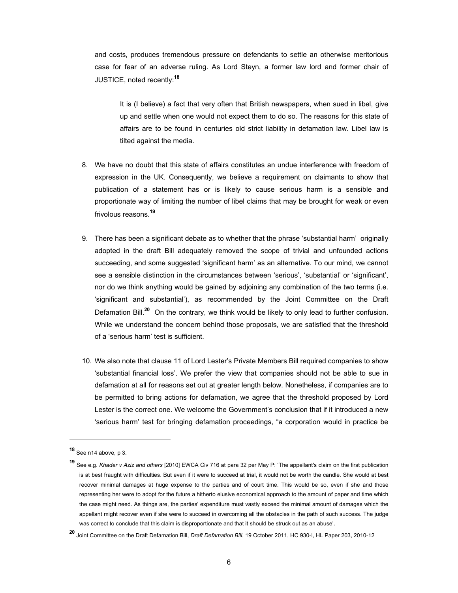and costs, produces tremendous pressure on defendants to settle an otherwise meritorious case for fear of an adverse ruling. As Lord Steyn, a former law lord and former chair of JUSTICE, noted recently:**<sup>18</sup>**

It is (I believe) a fact that very often that British newspapers, when sued in libel, give up and settle when one would not expect them to do so. The reasons for this state of affairs are to be found in centuries old strict liability in defamation law. Libel law is tilted against the media.

- 8. We have no doubt that this state of affairs constitutes an undue interference with freedom of expression in the UK. Consequently, we believe a requirement on claimants to show that publication of a statement has or is likely to cause serious harm is a sensible and proportionate way of limiting the number of libel claims that may be brought for weak or even frivolous reasons.**<sup>19</sup>**
- 9. There has been a significant debate as to whether that the phrase 'substantial harm' originally adopted in the draft Bill adequately removed the scope of trivial and unfounded actions succeeding, and some suggested 'significant harm' as an alternative. To our mind, we cannot see a sensible distinction in the circumstances between 'serious', 'substantial' or 'significant', nor do we think anything would be gained by adjoining any combination of the two terms (i.e. 'significant and substantial'), as recommended by the Joint Committee on the Draft Defamation Bill.**20** On the contrary, we think would be likely to only lead to further confusion. While we understand the concern behind those proposals, we are satisfied that the threshold of a 'serious harm' test is sufficient.
- 10. We also note that clause 11 of Lord Lester's Private Members Bill required companies to show 'substantial financial loss'. We prefer the view that companies should not be able to sue in defamation at all for reasons set out at greater length below. Nonetheless, if companies are to be permitted to bring actions for defamation, we agree that the threshold proposed by Lord Lester is the correct one. We welcome the Government's conclusion that if it introduced a new 'serious harm' test for bringing defamation proceedings, "a corporation would in practice be

**<sup>18</sup>** See n14 above, p 3.

**<sup>19</sup>** See e.g. *Khader v Aziz and others* [2010] EWCA Civ 716 at para 32 per May P: 'The appellant's claim on the first publication is at best fraught with difficulties. But even if it were to succeed at trial, it would not be worth the candle. She would at best recover minimal damages at huge expense to the parties and of court time. This would be so, even if she and those representing her were to adopt for the future a hitherto elusive economical approach to the amount of paper and time which the case might need. As things are, the parties' expenditure must vastly exceed the minimal amount of damages which the appellant might recover even if she were to succeed in overcoming all the obstacles in the path of such success. The judge was correct to conclude that this claim is disproportionate and that it should be struck out as an abuse'.

**<sup>20</sup>** Joint Committee on the Draft Defamation Bill, *Draft Defamation Bill*, 19 October 2011, HC 930-I, HL Paper 203, 2010-12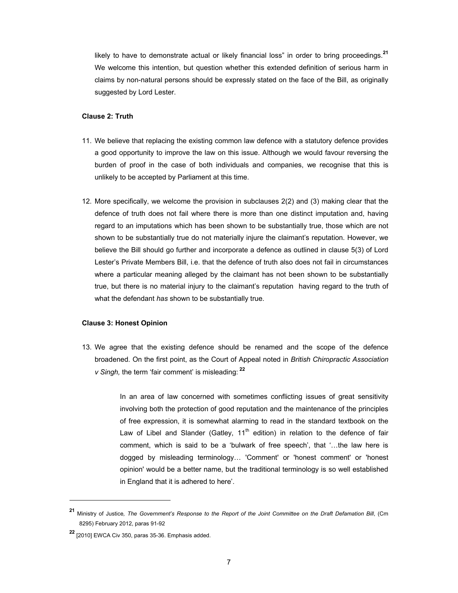likely to have to demonstrate actual or likely financial loss" in order to bring proceedings.**<sup>21</sup>** We welcome this intention, but question whether this extended definition of serious harm in claims by non-natural persons should be expressly stated on the face of the Bill, as originally suggested by Lord Lester.

#### **Clause 2: Truth**

- 11. We believe that replacing the existing common law defence with a statutory defence provides a good opportunity to improve the law on this issue. Although we would favour reversing the burden of proof in the case of both individuals and companies, we recognise that this is unlikely to be accepted by Parliament at this time.
- 12. More specifically, we welcome the provision in subclauses 2(2) and (3) making clear that the defence of truth does not fail where there is more than one distinct imputation and, having regard to an imputations which has been shown to be substantially true, those which are not shown to be substantially true do not materially injure the claimant's reputation. However, we believe the Bill should go further and incorporate a defence as outlined in clause 5(3) of Lord Lester's Private Members Bill, i.e. that the defence of truth also does not fail in circumstances where a particular meaning alleged by the claimant has not been shown to be substantially true, but there is no material injury to the claimant's reputation having regard to the truth of what the defendant *has* shown to be substantially true.

#### **Clause 3: Honest Opinion**

13. We agree that the existing defence should be renamed and the scope of the defence broadened. On the first point, as the Court of Appeal noted in *British Chiropractic Association v Singh,* the term 'fair comment' is misleading:**<sup>22</sup>**

> In an area of law concerned with sometimes conflicting issues of great sensitivity involving both the protection of good reputation and the maintenance of the principles of free expression, it is somewhat alarming to read in the standard textbook on the Law of Libel and Slander (Gatley,  $11<sup>th</sup>$  edition) in relation to the defence of fair comment, which is said to be a 'bulwark of free speech', that '…the law here is dogged by misleading terminology… 'Comment' or 'honest comment' or 'honest opinion' would be a better name, but the traditional terminology is so well established in England that it is adhered to here'.

**<sup>21</sup>** Ministry of Justice*, The Government's Response to the Report of the Joint Committee on the Draft Defamation Bill*, (Cm 8295) February 2012, paras 91-92

**<sup>22</sup>** [2010] EWCA Civ 350, paras 35-36. Emphasis added.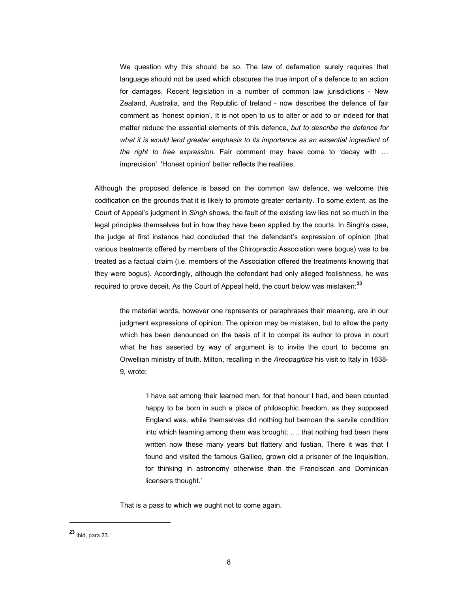We question why this should be so. The law of defamation surely requires that language should not be used which obscures the true import of a defence to an action for damages. Recent legislation in a number of common law jurisdictions - New Zealand, Australia, and the Republic of Ireland - now describes the defence of fair comment as 'honest opinion'. It is not open to us to alter or add to or indeed for that matter reduce the essential elements of this defence, *but to describe the defence for what it is would lend greater emphasis to its importance as an essential ingredient of the right to free expression.* Fair comment may have come to 'decay with … imprecision'. 'Honest opinion' better reflects the realities.

Although the proposed defence is based on the common law defence, we welcome this codification on the grounds that it is likely to promote greater certainty. To some extent, as the Court of Appeal's judgment in *Singh* shows, the fault of the existing law lies not so much in the legal principles themselves but in how they have been applied by the courts. In Singh's case, the judge at first instance had concluded that the defendant's expression of opinion (that various treatments offered by members of the Chiropractic Association were bogus) was to be treated as a factual claim (i.e. members of the Association offered the treatments knowing that they were bogus). Accordingly, although the defendant had only alleged foolishness, he was required to prove deceit. As the Court of Appeal held, the court below was mistaken:**<sup>23</sup>**

the material words, however one represents or paraphrases their meaning, are in our judgment expressions of opinion. The opinion may be mistaken, but to allow the party which has been denounced on the basis of it to compel its author to prove in court what he has asserted by way of argument is to invite the court to become an Orwellian ministry of truth. Milton, recalling in the *Areopagitica* his visit to Italy in 1638- 9, wrote:

'I have sat among their learned men, for that honour I had, and been counted happy to be born in such a place of philosophic freedom, as they supposed England was, while themselves did nothing but bemoan the servile condition into which learning among them was brought; …. that nothing had been there written now these many years but flattery and fustian. There it was that I found and visited the famous Galileo, grown old a prisoner of the Inquisition, for thinking in astronomy otherwise than the Franciscan and Dominican licensers thought.'

That is a pass to which we ought not to come again.

l

**<sup>23</sup>** Ibid, para 23.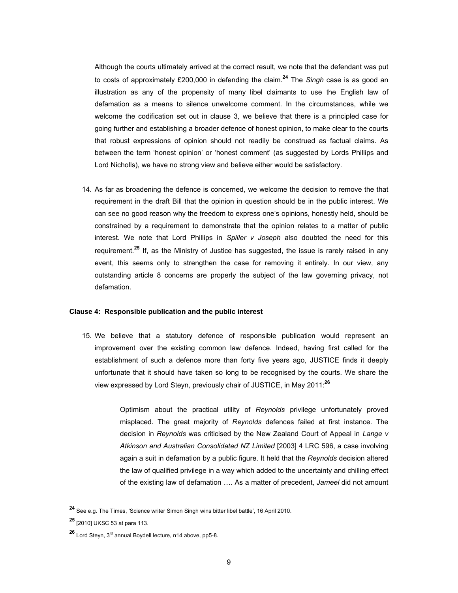Although the courts ultimately arrived at the correct result, we note that the defendant was put to costs of approximately £200,000 in defending the claim.**24** The *Singh* case is as good an illustration as any of the propensity of many libel claimants to use the English law of defamation as a means to silence unwelcome comment. In the circumstances, while we welcome the codification set out in clause 3, we believe that there is a principled case for going further and establishing a broader defence of honest opinion, to make clear to the courts that robust expressions of opinion should not readily be construed as factual claims. As between the term 'honest opinion' or 'honest comment' (as suggested by Lords Phillips and Lord Nicholls), we have no strong view and believe either would be satisfactory.

14. As far as broadening the defence is concerned, we welcome the decision to remove the that requirement in the draft Bill that the opinion in question should be in the public interest. We can see no good reason why the freedom to express one's opinions, honestly held, should be constrained by a requirement to demonstrate that the opinion relates to a matter of public interest. We note that Lord Phillips in *Spiller v Joseph* also doubted the need for this requirement*.* **<sup>25</sup>** If, as the Ministry of Justice has suggested, the issue is rarely raised in any event, this seems only to strengthen the case for removing it entirely. In our view, any outstanding article 8 concerns are properly the subject of the law governing privacy, not defamation.

### **Clause 4: Responsible publication and the public interest**

15. We believe that a statutory defence of responsible publication would represent an improvement over the existing common law defence. Indeed, having first called for the establishment of such a defence more than forty five years ago, JUSTICE finds it deeply unfortunate that it should have taken so long to be recognised by the courts. We share the view expressed by Lord Steyn, previously chair of JUSTICE, in May 2011:**<sup>26</sup>**

> Optimism about the practical utility of *Reynolds* privilege unfortunately proved misplaced. The great majority of *Reynolds* defences failed at first instance. The decision in *Reynolds* was criticised by the New Zealand Court of Appeal in *Lange v Atkinson and Australian Consolidated NZ Limited* [2003] 4 LRC 596, a case involving again a suit in defamation by a public figure. It held that the *Reynolds* decision altered the law of qualified privilege in a way which added to the uncertainty and chilling effect of the existing law of defamation …. As a matter of precedent, *Jameel* did not amount

**<sup>24</sup>** See e.g. The Times, 'Science writer Simon Singh wins bitter libel battle', 16 April 2010.

**<sup>25</sup>** [2010] UKSC 53 at para 113.

**<sup>26</sup>** Lord Steyn, 3rd annual Boydell lecture, n14 above, pp5-8.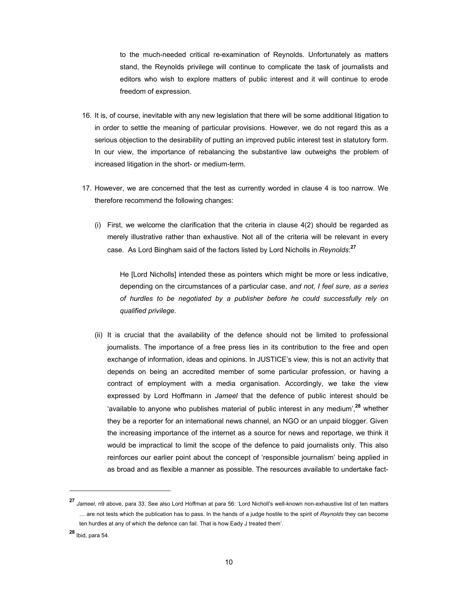to the much-needed critical re-examination of Reynolds. Unfortunately as matters stand, the Reynolds privilege will continue to complicate the task of journalists and editors who wish to explore matters of public interest and it will continue to erode freedom of expression.

- 16. It is, of course, inevitable with any new legislation that there will be some additional litigation to in order to settle the meaning of particular provisions. However, we do not regard this as a serious objection to the desirability of putting an improved public interest test in statutory form. In our view, the importance of rebalancing the substantive law outweighs the problem of increased litigation in the short- or medium-term.
- 17. However, we are concerned that the test as currently worded in clause 4 is too narrow. We therefore recommend the following changes:
	- (i) First, we welcome the clarification that the criteria in clause 4(2) should be regarded as merely illustrative rather than exhaustive. Not all of the criteria will be relevant in every case. As Lord Bingham said of the factors listed by Lord Nicholls in *Reynolds*: **27**

He [Lord Nicholls] intended these as pointers which might be more or less indicative, depending on the circumstances of a particular case, *and not, I feel sure, as a series of hurdles to be negotiated by a publisher before he could successfully rely on qualified privilege*.

(ii) It is crucial that the availability of the defence should not be limited to professional journalists. The importance of a free press lies in its contribution to the free and open exchange of information, ideas and opinions. In JUSTICE's view, this is not an activity that depends on being an accredited member of some particular profession, or having a contract of employment with a media organisation. Accordingly, we take the view expressed by Lord Hoffmann in *Jameel* that the defence of public interest should be 'available to anyone who publishes material of public interest in any medium',**28** whether they be a reporter for an international news channel, an NGO or an unpaid blogger. Given the increasing importance of the internet as a source for news and reportage, we think it would be impractical to limit the scope of the defence to paid journalists only. This also reinforces our earlier point about the concept of 'responsible journalism' being applied in as broad and as flexible a manner as possible. The resources available to undertake fact-

**<sup>27</sup>** *Jameel*, n9 above, para 33. See also Lord Hoffman at para 56: 'Lord Nicholl's well-known non-exhaustive list of ten matters … are not tests which the publication has to pass. In the hands of a judge hostile to the spirit of *Reynolds* they can become ten hurdles at any of which the defence can fail. That is how Eady J treated them'.

**<sup>28</sup>** Ibid, para 54.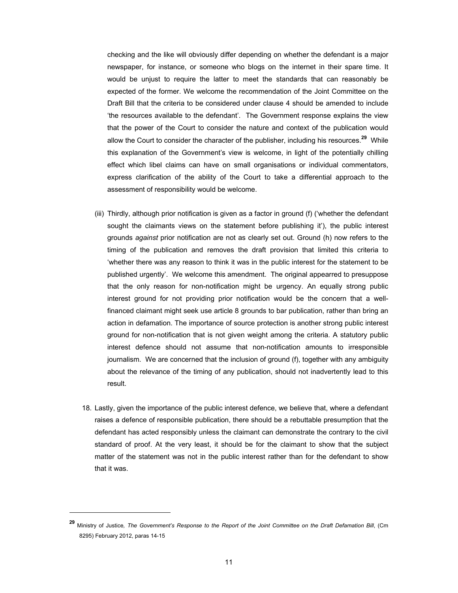checking and the like will obviously differ depending on whether the defendant is a major newspaper, for instance, or someone who blogs on the internet in their spare time. It would be unjust to require the latter to meet the standards that can reasonably be expected of the former. We welcome the recommendation of the Joint Committee on the Draft Bill that the criteria to be considered under clause 4 should be amended to include 'the resources available to the defendant'. The Government response explains the view that the power of the Court to consider the nature and context of the publication would allow the Court to consider the character of the publisher, including his resources.**29** While this explanation of the Government's view is welcome, in light of the potentially chilling effect which libel claims can have on small organisations or individual commentators, express clarification of the ability of the Court to take a differential approach to the assessment of responsibility would be welcome.

- (iii) Thirdly, although prior notification is given as a factor in ground (f) ('whether the defendant sought the claimants views on the statement before publishing it'), the public interest grounds *against* prior notification are not as clearly set out. Ground (h) now refers to the timing of the publication and removes the draft provision that limited this criteria to 'whether there was any reason to think it was in the public interest for the statement to be published urgently'. We welcome this amendment. The original appearred to presuppose that the only reason for non-notification might be urgency. An equally strong public interest ground for not providing prior notification would be the concern that a wellfinanced claimant might seek use article 8 grounds to bar publication, rather than bring an action in defamation. The importance of source protection is another strong public interest ground for non-notification that is not given weight among the criteria. A statutory public interest defence should not assume that non-notification amounts to irresponsible journalism. We are concerned that the inclusion of ground (f), together with any ambiguity about the relevance of the timing of any publication, should not inadvertently lead to this result.
- 18. Lastly, given the importance of the public interest defence, we believe that, where a defendant raises a defence of responsible publication, there should be a rebuttable presumption that the defendant has acted responsibly unless the claimant can demonstrate the contrary to the civil standard of proof. At the very least, it should be for the claimant to show that the subject matter of the statement was not in the public interest rather than for the defendant to show that it was.

**<sup>29</sup>** Ministry of Justice*, The Government's Response to the Report of the Joint Committee on the Draft Defamation Bill*, (Cm 8295) February 2012, paras 14-15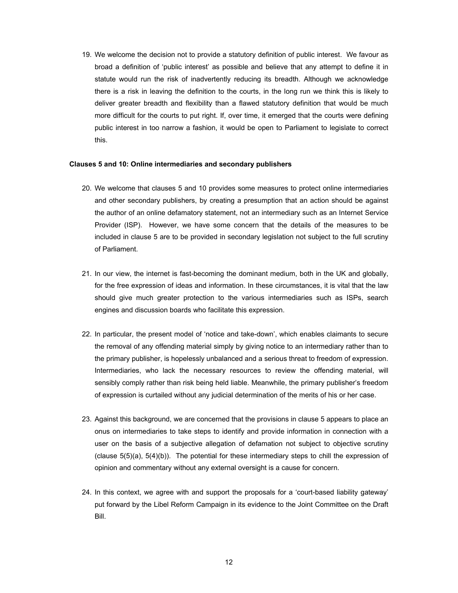19. We welcome the decision not to provide a statutory definition of public interest. We favour as broad a definition of 'public interest' as possible and believe that any attempt to define it in statute would run the risk of inadvertently reducing its breadth. Although we acknowledge there is a risk in leaving the definition to the courts, in the long run we think this is likely to deliver greater breadth and flexibility than a flawed statutory definition that would be much more difficult for the courts to put right. If, over time, it emerged that the courts were defining public interest in too narrow a fashion, it would be open to Parliament to legislate to correct this.

## **Clauses 5 and 10: Online intermediaries and secondary publishers**

- 20. We welcome that clauses 5 and 10 provides some measures to protect online intermediaries and other secondary publishers, by creating a presumption that an action should be against the author of an online defamatory statement, not an intermediary such as an Internet Service Provider (ISP). However, we have some concern that the details of the measures to be included in clause 5 are to be provided in secondary legislation not subject to the full scrutiny of Parliament.
- 21. In our view, the internet is fast-becoming the dominant medium, both in the UK and globally, for the free expression of ideas and information. In these circumstances, it is vital that the law should give much greater protection to the various intermediaries such as ISPs, search engines and discussion boards who facilitate this expression.
- 22. In particular, the present model of 'notice and take-down', which enables claimants to secure the removal of any offending material simply by giving notice to an intermediary rather than to the primary publisher, is hopelessly unbalanced and a serious threat to freedom of expression. Intermediaries, who lack the necessary resources to review the offending material, will sensibly comply rather than risk being held liable. Meanwhile, the primary publisher's freedom of expression is curtailed without any judicial determination of the merits of his or her case.
- 23. Against this background, we are concerned that the provisions in clause 5 appears to place an onus on intermediaries to take steps to identify and provide information in connection with a user on the basis of a subjective allegation of defamation not subject to objective scrutiny (clause 5(5)(a), 5(4)(b)). The potential for these intermediary steps to chill the expression of opinion and commentary without any external oversight is a cause for concern.
- 24. In this context, we agree with and support the proposals for a 'court-based liability gateway' put forward by the Libel Reform Campaign in its evidence to the Joint Committee on the Draft Bill.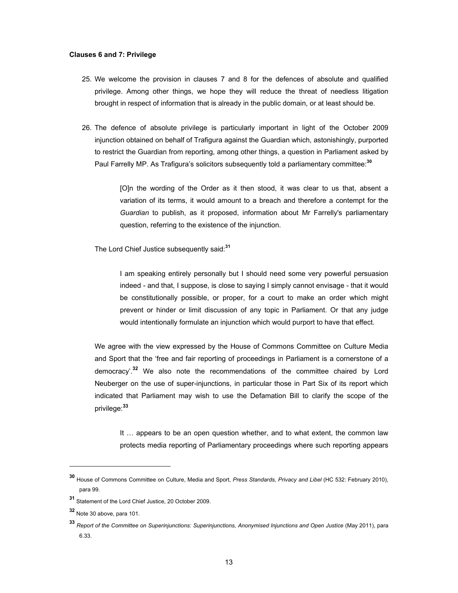#### **Clauses 6 and 7: Privilege**

- 25. We welcome the provision in clauses 7 and 8 for the defences of absolute and qualified privilege. Among other things, we hope they will reduce the threat of needless litigation brought in respect of information that is already in the public domain, or at least should be.
- 26. The defence of absolute privilege is particularly important in light of the October 2009 injunction obtained on behalf of Trafigura against the Guardian which, astonishingly, purported to restrict the Guardian from reporting, among other things, a question in Parliament asked by Paul Farrelly MP. As Trafigura's solicitors subsequently told a parliamentary committee:**<sup>30</sup>**

[O]n the wording of the Order as it then stood, it was clear to us that, absent a variation of its terms, it would amount to a breach and therefore a contempt for the *Guardian* to publish, as it proposed, information about Mr Farrelly's parliamentary question, referring to the existence of the injunction.

The Lord Chief Justice subsequently said:**<sup>31</sup>**

I am speaking entirely personally but I should need some very powerful persuasion indeed - and that, I suppose, is close to saying I simply cannot envisage - that it would be constitutionally possible, or proper, for a court to make an order which might prevent or hinder or limit discussion of any topic in Parliament. Or that any judge would intentionally formulate an injunction which would purport to have that effect.

We agree with the view expressed by the House of Commons Committee on Culture Media and Sport that the 'free and fair reporting of proceedings in Parliament is a cornerstone of a democracy'.**32** We also note the recommendations of the committee chaired by Lord Neuberger on the use of super-injunctions, in particular those in Part Six of its report which indicated that Parliament may wish to use the Defamation Bill to clarify the scope of the privilege:**<sup>33</sup>**

It … appears to be an open question whether, and to what extent, the common law protects media reporting of Parliamentary proceedings where such reporting appears

l

**<sup>30</sup>** House of Commons Committee on Culture, Media and Sport, *Press Standards, Privacy and Libel* (HC 532: February 2010), para 99.

**<sup>31</sup>** Statement of the Lord Chief Justice, 20 October 2009.

**<sup>32</sup>** Note 30 above, para 101.

**<sup>33</sup>** *Report of the Committee on Superinjunctions: Superinjunctions, Anonymised Injunctions and Open Justice* (May 2011), para 6.33.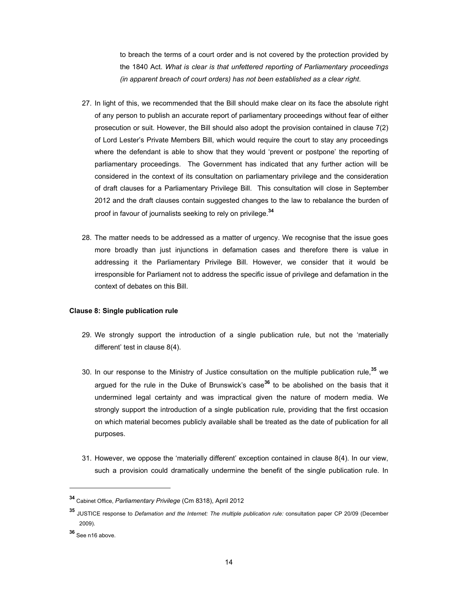to breach the terms of a court order and is not covered by the protection provided by the 1840 Act. *What is clear is that unfettered reporting of Parliamentary proceedings (in apparent breach of court orders) has not been established as a clear right*.

- 27. In light of this, we recommended that the Bill should make clear on its face the absolute right of any person to publish an accurate report of parliamentary proceedings without fear of either prosecution or suit. However, the Bill should also adopt the provision contained in clause 7(2) of Lord Lester's Private Members Bill, which would require the court to stay any proceedings where the defendant is able to show that they would 'prevent or postpone' the reporting of parliamentary proceedings. The Government has indicated that any further action will be considered in the context of its consultation on parliamentary privilege and the consideration of draft clauses for a Parliamentary Privilege Bill. This consultation will close in September 2012 and the draft clauses contain suggested changes to the law to rebalance the burden of proof in favour of journalists seeking to rely on privilege.**<sup>34</sup>**
- 28. The matter needs to be addressed as a matter of urgency. We recognise that the issue goes more broadly than just injunctions in defamation cases and therefore there is value in addressing it the Parliamentary Privilege Bill. However, we consider that it would be irresponsible for Parliament not to address the specific issue of privilege and defamation in the context of debates on this Bill.

# **Clause 8: Single publication rule**

- 29. We strongly support the introduction of a single publication rule, but not the 'materially different' test in clause 8(4).
- 30. In our response to the Ministry of Justice consultation on the multiple publication rule,**35** we argued for the rule in the Duke of Brunswick's case**36** to be abolished on the basis that it undermined legal certainty and was impractical given the nature of modern media. We strongly support the introduction of a single publication rule, providing that the first occasion on which material becomes publicly available shall be treated as the date of publication for all purposes.
- 31. However, we oppose the 'materially different' exception contained in clause 8(4). In our view, such a provision could dramatically undermine the benefit of the single publication rule. In

**<sup>34</sup>** Cabinet Office, *Parliamentary Privilege* (Cm 8318), April 2012

**<sup>35</sup>** JUSTICE response to *Defamation and the Internet: The multiple publication rule:* consultation paper CP 20/09 (December 2009).

**<sup>36</sup>** See n16 above.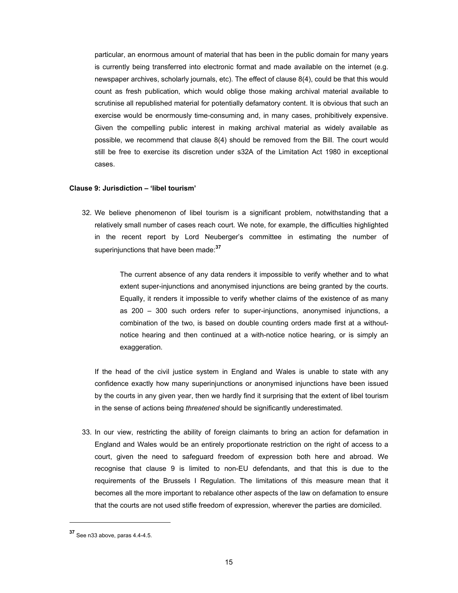particular, an enormous amount of material that has been in the public domain for many years is currently being transferred into electronic format and made available on the internet (e.g. newspaper archives, scholarly journals, etc). The effect of clause 8(4), could be that this would count as fresh publication, which would oblige those making archival material available to scrutinise all republished material for potentially defamatory content. It is obvious that such an exercise would be enormously time-consuming and, in many cases, prohibitively expensive. Given the compelling public interest in making archival material as widely available as possible, we recommend that clause 8(4) should be removed from the Bill. The court would still be free to exercise its discretion under s32A of the Limitation Act 1980 in exceptional cases.

### **Clause 9: Jurisdiction – 'libel tourism'**

32. We believe phenomenon of libel tourism is a significant problem, notwithstanding that a relatively small number of cases reach court. We note, for example, the difficulties highlighted in the recent report by Lord Neuberger's committee in estimating the number of superinjunctions that have been made:**<sup>37</sup>**

> The current absence of any data renders it impossible to verify whether and to what extent super-injunctions and anonymised injunctions are being granted by the courts. Equally, it renders it impossible to verify whether claims of the existence of as many as 200 – 300 such orders refer to super-injunctions, anonymised injunctions, a combination of the two, is based on double counting orders made first at a withoutnotice hearing and then continued at a with-notice notice hearing, or is simply an exaggeration.

If the head of the civil justice system in England and Wales is unable to state with any confidence exactly how many superinjunctions or anonymised injunctions have been issued by the courts in any given year, then we hardly find it surprising that the extent of libel tourism in the sense of actions being *threatened* should be significantly underestimated.

33. In our view, restricting the ability of foreign claimants to bring an action for defamation in England and Wales would be an entirely proportionate restriction on the right of access to a court, given the need to safeguard freedom of expression both here and abroad. We recognise that clause 9 is limited to non-EU defendants, and that this is due to the requirements of the Brussels I Regulation. The limitations of this measure mean that it becomes all the more important to rebalance other aspects of the law on defamation to ensure that the courts are not used stifle freedom of expression, wherever the parties are domiciled.

l

**<sup>37</sup>** See n33 above, paras 4.4-4.5.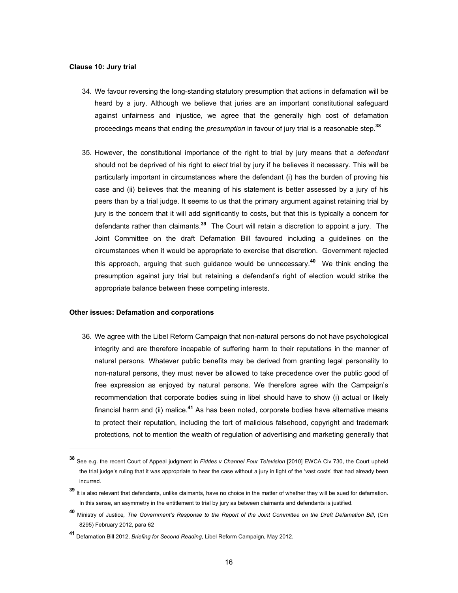#### **Clause 10: Jury trial**

- 34. We favour reversing the long-standing statutory presumption that actions in defamation will be heard by a jury. Although we believe that juries are an important constitutional safeguard against unfairness and injustice, we agree that the generally high cost of defamation proceedings means that ending the *presumption* in favour of jury trial is a reasonable step.**<sup>38</sup>**
- 35. However, the constitutional importance of the right to trial by jury means that a *defendant* should not be deprived of his right to *elect* trial by jury if he believes it necessary. This will be particularly important in circumstances where the defendant (i) has the burden of proving his case and (ii) believes that the meaning of his statement is better assessed by a jury of his peers than by a trial judge. It seems to us that the primary argument against retaining trial by jury is the concern that it will add significantly to costs, but that this is typically a concern for defendants rather than claimants.**39** The Court will retain a discretion to appoint a jury. The Joint Committee on the draft Defamation Bill favoured including a guidelines on the circumstances when it would be appropriate to exercise that discretion. Government rejected this approach, arguing that such guidance would be unnecessary.**40** We think ending the presumption against jury trial but retaining a defendant's right of election would strike the appropriate balance between these competing interests.

### **Other issues: Defamation and corporations**

 $\overline{a}$ 

36. We agree with the Libel Reform Campaign that non-natural persons do not have psychological integrity and are therefore incapable of suffering harm to their reputations in the manner of natural persons. Whatever public benefits may be derived from granting legal personality to non-natural persons, they must never be allowed to take precedence over the public good of free expression as enjoyed by natural persons. We therefore agree with the Campaign's recommendation that corporate bodies suing in libel should have to show (i) actual or likely financial harm and (ii) malice.**41** As has been noted, corporate bodies have alternative means to protect their reputation, including the tort of malicious falsehood, copyright and trademark protections, not to mention the wealth of regulation of advertising and marketing generally that

**<sup>38</sup>** See e.g. the recent Court of Appeal judgment in *Fiddes v Channel Four Television* [2010] EWCA Civ 730, the Court upheld the trial judge's ruling that it was appropriate to hear the case without a jury in light of the 'vast costs' that had already been incurred.

**<sup>39</sup>** It is also relevant that defendants, unlike claimants, have no choice in the matter of whether they will be sued for defamation. In this sense, an asymmetry in the entitlement to trial by jury as between claimants and defendants is justified.

**<sup>40</sup>** Ministry of Justice*, The Government's Response to the Report of the Joint Committee on the Draft Defamation Bill*, (Cm 8295) February 2012, para 62

**<sup>41</sup>** Defamation Bill 2012, *Briefing for Second Reading,* Libel Reform Campaign, May 2012.